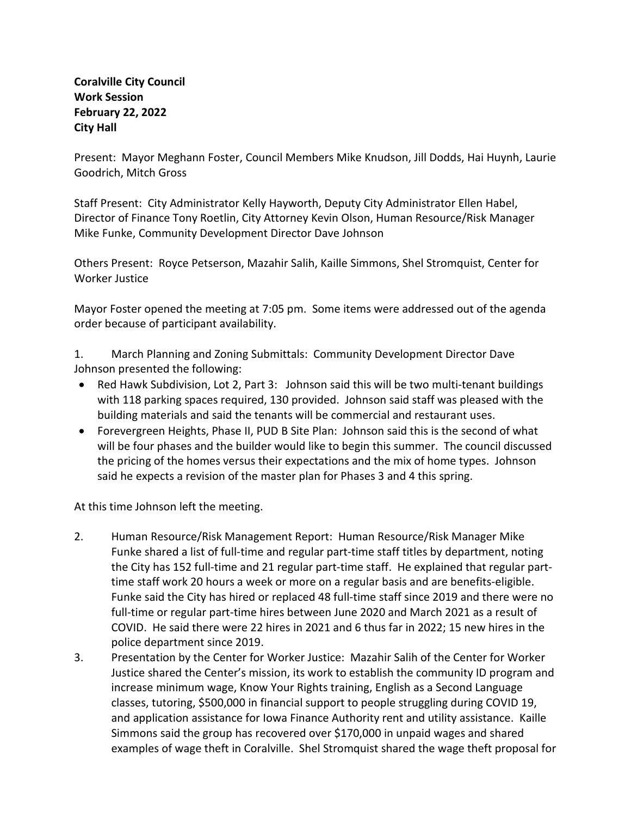## **Coralville City Council Work Session February 22, 2022 City Hall**

Present: Mayor Meghann Foster, Council Members Mike Knudson, Jill Dodds, Hai Huynh, Laurie Goodrich, Mitch Gross

Staff Present: City Administrator Kelly Hayworth, Deputy City Administrator Ellen Habel, Director of Finance Tony Roetlin, City Attorney Kevin Olson, Human Resource/Risk Manager Mike Funke, Community Development Director Dave Johnson

Others Present: Royce Petserson, Mazahir Salih, Kaille Simmons, Shel Stromquist, Center for Worker Justice

Mayor Foster opened the meeting at 7:05 pm. Some items were addressed out of the agenda order because of participant availability.

1. March Planning and Zoning Submittals: Community Development Director Dave Johnson presented the following:

- Red Hawk Subdivision, Lot 2, Part 3: Johnson said this will be two multi-tenant buildings with 118 parking spaces required, 130 provided. Johnson said staff was pleased with the building materials and said the tenants will be commercial and restaurant uses.
- Forevergreen Heights, Phase II, PUD B Site Plan: Johnson said this is the second of what will be four phases and the builder would like to begin this summer. The council discussed the pricing of the homes versus their expectations and the mix of home types. Johnson said he expects a revision of the master plan for Phases 3 and 4 this spring.

At this time Johnson left the meeting.

- 2. Human Resource/Risk Management Report: Human Resource/Risk Manager Mike Funke shared a list of full-time and regular part-time staff titles by department, noting the City has 152 full-time and 21 regular part-time staff. He explained that regular parttime staff work 20 hours a week or more on a regular basis and are benefits-eligible. Funke said the City has hired or replaced 48 full-time staff since 2019 and there were no full-time or regular part-time hires between June 2020 and March 2021 as a result of COVID. He said there were 22 hires in 2021 and 6 thus far in 2022; 15 new hires in the police department since 2019.
- 3. Presentation by the Center for Worker Justice: Mazahir Salih of the Center for Worker Justice shared the Center's mission, its work to establish the community ID program and increase minimum wage, Know Your Rights training, English as a Second Language classes, tutoring, \$500,000 in financial support to people struggling during COVID 19, and application assistance for Iowa Finance Authority rent and utility assistance. Kaille Simmons said the group has recovered over \$170,000 in unpaid wages and shared examples of wage theft in Coralville. Shel Stromquist shared the wage theft proposal for